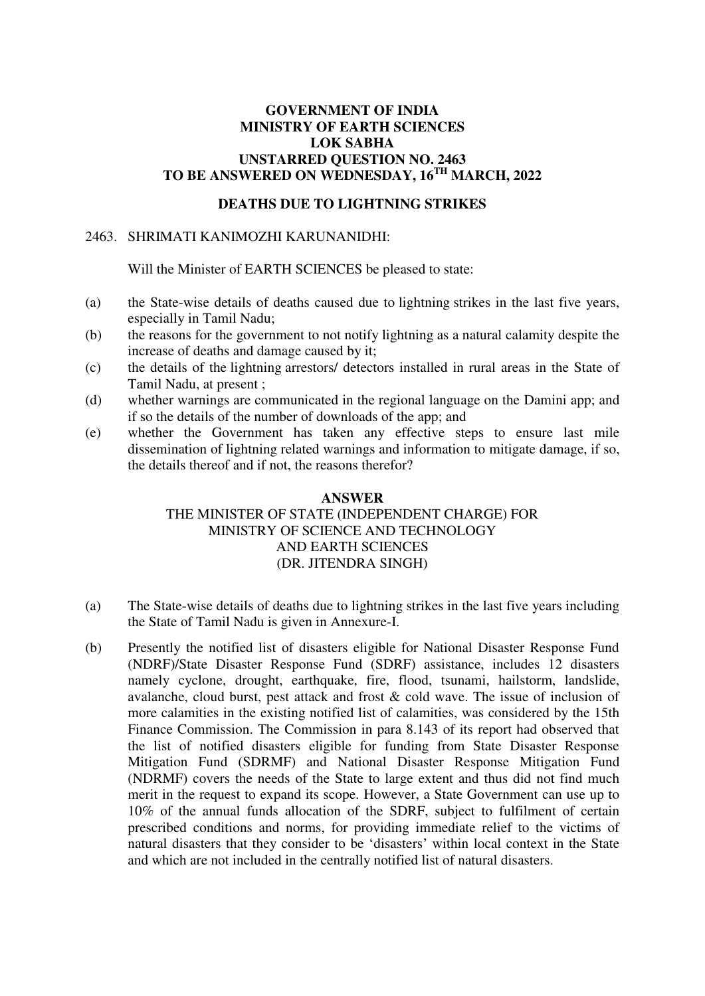## **GOVERNMENT OF INDIA MINISTRY OF EARTH SCIENCES LOK SABHA UNSTARRED QUESTION NO. 2463 TO BE ANSWERED ON WEDNESDAY, 16TH MARCH, 2022**

## **DEATHS DUE TO LIGHTNING STRIKES**

### 2463. SHRIMATI KANIMOZHI KARUNANIDHI:

Will the Minister of EARTH SCIENCES be pleased to state:

- (a) the State-wise details of deaths caused due to lightning strikes in the last five years, especially in Tamil Nadu;
- (b) the reasons for the government to not notify lightning as a natural calamity despite the increase of deaths and damage caused by it;
- (c) the details of the lightning arrestors/ detectors installed in rural areas in the State of Tamil Nadu, at present ;
- (d) whether warnings are communicated in the regional language on the Damini app; and if so the details of the number of downloads of the app; and
- (e) whether the Government has taken any effective steps to ensure last mile dissemination of lightning related warnings and information to mitigate damage, if so, the details thereof and if not, the reasons therefor?

#### **ANSWER**

# THE MINISTER OF STATE (INDEPENDENT CHARGE) FOR MINISTRY OF SCIENCE AND TECHNOLOGY AND EARTH SCIENCES (DR. JITENDRA SINGH)

- (a) The State-wise details of deaths due to lightning strikes in the last five years including the State of Tamil Nadu is given in Annexure-I.
- (b) Presently the notified list of disasters eligible for National Disaster Response Fund (NDRF)/State Disaster Response Fund (SDRF) assistance, includes 12 disasters namely cyclone, drought, earthquake, fire, flood, tsunami, hailstorm, landslide, avalanche, cloud burst, pest attack and frost & cold wave. The issue of inclusion of more calamities in the existing notified list of calamities, was considered by the 15th Finance Commission. The Commission in para 8.143 of its report had observed that the list of notified disasters eligible for funding from State Disaster Response Mitigation Fund (SDRMF) and National Disaster Response Mitigation Fund (NDRMF) covers the needs of the State to large extent and thus did not find much merit in the request to expand its scope. However, a State Government can use up to 10% of the annual funds allocation of the SDRF, subject to fulfilment of certain prescribed conditions and norms, for providing immediate relief to the victims of natural disasters that they consider to be 'disasters' within local context in the State and which are not included in the centrally notified list of natural disasters.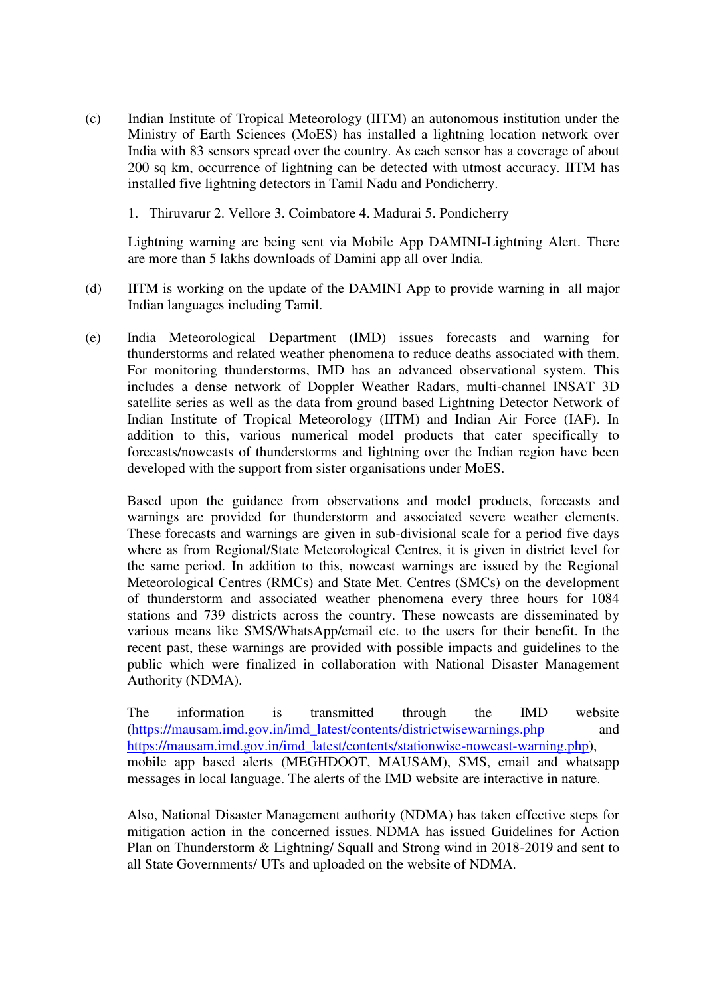- (c) Indian Institute of Tropical Meteorology (IITM) an autonomous institution under the Ministry of Earth Sciences (MoES) has installed a lightning location network over India with 83 sensors spread over the country. As each sensor has a coverage of about 200 sq km, occurrence of lightning can be detected with utmost accuracy. IITM has installed five lightning detectors in Tamil Nadu and Pondicherry.
	- 1. Thiruvarur 2. Vellore 3. Coimbatore 4. Madurai 5. Pondicherry

Lightning warning are being sent via Mobile App DAMINI-Lightning Alert. There are more than 5 lakhs downloads of Damini app all over India.

- (d) IITM is working on the update of the DAMINI App to provide warning in all major Indian languages including Tamil.
- (e) India Meteorological Department (IMD) issues forecasts and warning for thunderstorms and related weather phenomena to reduce deaths associated with them. For monitoring thunderstorms, IMD has an advanced observational system. This includes a dense network of Doppler Weather Radars, multi-channel INSAT 3D satellite series as well as the data from ground based Lightning Detector Network of Indian Institute of Tropical Meteorology (IITM) and Indian Air Force (IAF). In addition to this, various numerical model products that cater specifically to forecasts/nowcasts of thunderstorms and lightning over the Indian region have been developed with the support from sister organisations under MoES.

Based upon the guidance from observations and model products, forecasts and warnings are provided for thunderstorm and associated severe weather elements. These forecasts and warnings are given in sub-divisional scale for a period five days where as from Regional/State Meteorological Centres, it is given in district level for the same period. In addition to this, nowcast warnings are issued by the Regional Meteorological Centres (RMCs) and State Met. Centres (SMCs) on the development of thunderstorm and associated weather phenomena every three hours for 1084 stations and 739 districts across the country. These nowcasts are disseminated by various means like SMS/WhatsApp/email etc. to the users for their benefit. In the recent past, these warnings are provided with possible impacts and guidelines to the public which were finalized in collaboration with National Disaster Management Authority (NDMA).

The information is transmitted through the IMD website [\(https://mausam.imd.gov.in/imd\\_latest/contents/districtwisewarnings.php](https://mausam.imd.gov.in/imd_latest/contents/districtwisewarnings.php) and [https://mausam.imd.gov.in/imd\\_latest/contents/stationwise-nowcast-warning.php\)](https://mausam.imd.gov.in/imd_latest/contents/stationwise-nowcast-warning.php), mobile app based alerts (MEGHDOOT, MAUSAM), SMS, email and whatsapp messages in local language. The alerts of the IMD website are interactive in nature.

Also, National Disaster Management authority (NDMA) has taken effective steps for mitigation action in the concerned issues. NDMA has issued Guidelines for Action Plan on Thunderstorm & Lightning/ Squall and Strong wind in 2018-2019 and sent to all State Governments/ UTs and uploaded on the website of NDMA.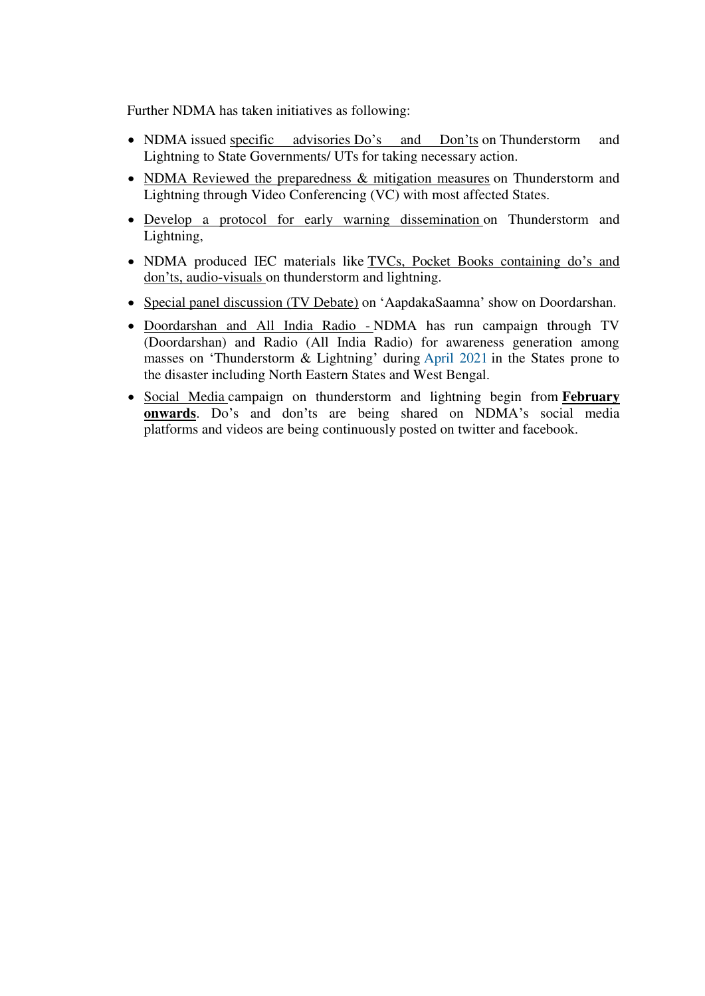Further NDMA has taken initiatives as following:

- NDMA issued specific advisories Do's and Don'ts on Thunderstorm and Lightning to State Governments/ UTs for taking necessary action.
- NDMA Reviewed the preparedness & mitigation measures on Thunderstorm and Lightning through Video Conferencing (VC) with most affected States.
- Develop a protocol for early warning dissemination on Thunderstorm and Lightning,
- NDMA produced IEC materials like TVCs, Pocket Books containing do's and don'ts, audio-visuals on thunderstorm and lightning.
- Special panel discussion (TV Debate) on 'AapdakaSaamna' show on Doordarshan.
- Doordarshan and All India Radio NDMA has run campaign through TV (Doordarshan) and Radio (All India Radio) for awareness generation among masses on 'Thunderstorm & Lightning' during April 2021 in the States prone to the disaster including North Eastern States and West Bengal.
- Social Media campaign on thunderstorm and lightning begin from **February onwards**. Do's and don'ts are being shared on NDMA's social media platforms and videos are being continuously posted on twitter and facebook.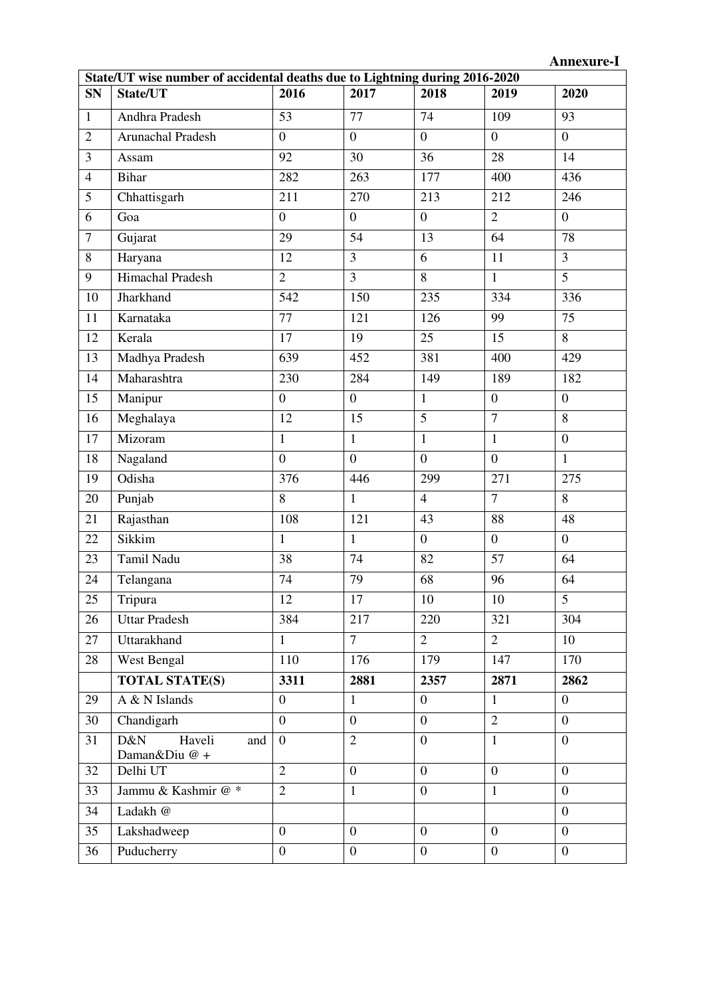| State/UT wise number of accidental deaths due to Lightning during 2016-2020 |                                       |                  |                  |                  |                  |                  |  |  |  |  |
|-----------------------------------------------------------------------------|---------------------------------------|------------------|------------------|------------------|------------------|------------------|--|--|--|--|
| <b>SN</b>                                                                   | State/UT                              | 2016             | 2017             | 2018             | 2019             | 2020             |  |  |  |  |
| $\mathbf{1}$                                                                | Andhra Pradesh                        | 53               | 77               | 74               | 109              | 93               |  |  |  |  |
| $\overline{2}$                                                              | Arunachal Pradesh                     | $\overline{0}$   | $\overline{0}$   | $\overline{0}$   | $\overline{0}$   | $\overline{0}$   |  |  |  |  |
| $\overline{3}$                                                              | Assam                                 | 92               | 30               | 36               | 28               | 14               |  |  |  |  |
| $\overline{4}$                                                              | <b>Bihar</b>                          | 282              | 263              | 177              | 400              | 436              |  |  |  |  |
| 5                                                                           | Chhattisgarh                          | 211              | 270              | 213              | 212              | 246              |  |  |  |  |
| 6                                                                           | Goa                                   | $\overline{0}$   | $\overline{0}$   | $\overline{0}$   | $\overline{2}$   | $\overline{0}$   |  |  |  |  |
| $\overline{7}$                                                              | Gujarat                               | 29               | 54               | 13               | 64               | 78               |  |  |  |  |
| 8                                                                           | Haryana                               | 12               | $\overline{3}$   | 6                | 11               | $\overline{3}$   |  |  |  |  |
| 9                                                                           | Himachal Pradesh                      | $\overline{2}$   | $\overline{3}$   | 8                | $\mathbf{1}$     | $\overline{5}$   |  |  |  |  |
| 10                                                                          | Jharkhand                             | 542              | 150              | 235              | 334              | 336              |  |  |  |  |
| 11                                                                          | Karnataka                             | 77               | 121              | 126              | 99               | 75               |  |  |  |  |
| 12                                                                          | Kerala                                | 17               | 19               | 25               | $\overline{15}$  | $\overline{8}$   |  |  |  |  |
| 13                                                                          | Madhya Pradesh                        | 639              | 452              | 381              | 400              | 429              |  |  |  |  |
| 14                                                                          | Maharashtra                           | 230              | 284              | 149              | 189              | 182              |  |  |  |  |
| 15                                                                          | Manipur                               | $\overline{0}$   | $\overline{0}$   | $\mathbf{1}$     | $\overline{0}$   | $\overline{0}$   |  |  |  |  |
| 16                                                                          | Meghalaya                             | 12               | 15               | $\overline{5}$   | $\overline{7}$   | 8                |  |  |  |  |
| 17                                                                          | Mizoram                               | $\mathbf{1}$     | $\mathbf{1}$     | $\mathbf{1}$     | $\mathbf{1}$     | $\boldsymbol{0}$ |  |  |  |  |
| 18                                                                          | Nagaland                              | $\overline{0}$   | $\overline{0}$   | $\overline{0}$   | $\overline{0}$   | $\mathbf{1}$     |  |  |  |  |
| 19                                                                          | Odisha                                | 376              | 446              | 299              | 271              | 275              |  |  |  |  |
| 20                                                                          | Punjab                                | 8                | $\mathbf{1}$     | $\overline{4}$   | $\overline{7}$   | 8                |  |  |  |  |
| 21                                                                          | Rajasthan                             | 108              | 121              | 43               | 88               | 48               |  |  |  |  |
| 22                                                                          | Sikkim                                | $\mathbf{1}$     | $\mathbf{1}$     | $\overline{0}$   | $\overline{0}$   | $\overline{0}$   |  |  |  |  |
| 23                                                                          | Tamil Nadu                            | 38               | 74               | 82               | 57               | 64               |  |  |  |  |
| 24                                                                          | Telangana                             | 74               | 79               | 68               | 96               | 64               |  |  |  |  |
| $\overline{25}$                                                             | Tripura                               | 12               | 17               | $10\,$           | $10\,$           | $\overline{5}$   |  |  |  |  |
| 26                                                                          | <b>Uttar Pradesh</b>                  | 384              | 217              | 220              | 321              | 304              |  |  |  |  |
| 27                                                                          | Uttarakhand                           | $\mathbf{1}$     | 7 <sup>7</sup>   | $\overline{2}$   | $\overline{2}$   | 10               |  |  |  |  |
| 28                                                                          | West Bengal                           | 110              | 176              | 179              | 147              | 170              |  |  |  |  |
|                                                                             | <b>TOTAL STATE(S)</b>                 | 3311             | 2881             | 2357             | 2871             | 2862             |  |  |  |  |
| 29                                                                          | A & N Islands                         | $\overline{0}$   | $\mathbf{1}$     | $\boldsymbol{0}$ | $\mathbf{1}$     | $\overline{0}$   |  |  |  |  |
| 30                                                                          | Chandigarh                            | $\overline{0}$   | $\overline{0}$   | $\overline{0}$   | $\overline{2}$   | $\overline{0}$   |  |  |  |  |
| 31                                                                          | D&N<br>Haveli<br>and<br>Daman&Diu @ + | $\overline{0}$   | $\overline{2}$   | $\overline{0}$   | $\mathbf{1}$     | $\theta$         |  |  |  |  |
| 32                                                                          | Delhi UT                              | $\overline{2}$   | $\overline{0}$   | $\overline{0}$   | $\overline{0}$   | $\overline{0}$   |  |  |  |  |
| 33                                                                          | Jammu & Kashmir @*                    | $\overline{2}$   | $\mathbf{1}$     | $\overline{0}$   | $\mathbf{1}$     | $\overline{0}$   |  |  |  |  |
| 34                                                                          | Ladakh @                              |                  |                  |                  |                  | $\theta$         |  |  |  |  |
| 35                                                                          | Lakshadweep                           | $\overline{0}$   | $\overline{0}$   | $\boldsymbol{0}$ | $\overline{0}$   | $\overline{0}$   |  |  |  |  |
| 36                                                                          | Puducherry                            | $\boldsymbol{0}$ | $\boldsymbol{0}$ | $\boldsymbol{0}$ | $\boldsymbol{0}$ | $\boldsymbol{0}$ |  |  |  |  |